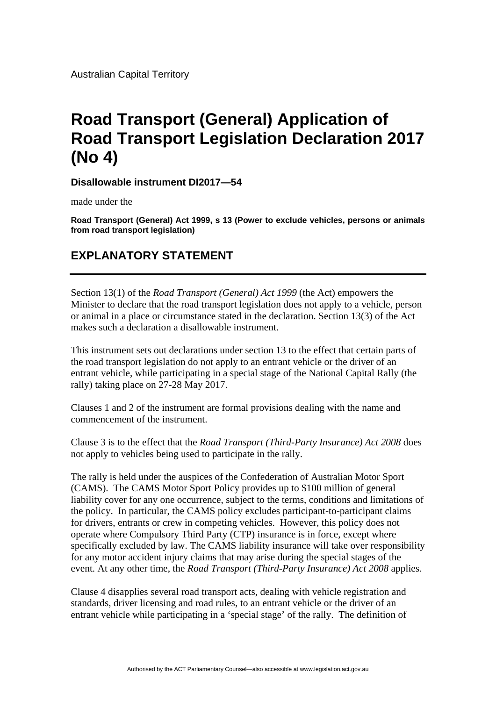Australian Capital Territory

## **Road Transport (General) Application of Road Transport Legislation Declaration 2017 (No 4)**

**Disallowable instrument DI2017—54**

made under the

**Road Transport (General) Act 1999, s 13 (Power to exclude vehicles, persons or animals from road transport legislation)** 

## **EXPLANATORY STATEMENT**

Section 13(1) of the *Road Transport (General) Act 1999* (the Act) empowers the Minister to declare that the road transport legislation does not apply to a vehicle, person or animal in a place or circumstance stated in the declaration. Section 13(3) of the Act makes such a declaration a disallowable instrument.

This instrument sets out declarations under section 13 to the effect that certain parts of the road transport legislation do not apply to an entrant vehicle or the driver of an entrant vehicle, while participating in a special stage of the National Capital Rally (the rally) taking place on 27-28 May 2017.

Clauses 1 and 2 of the instrument are formal provisions dealing with the name and commencement of the instrument.

Clause 3 is to the effect that the *Road Transport (Third-Party Insurance) Act 2008* does not apply to vehicles being used to participate in the rally.

The rally is held under the auspices of the Confederation of Australian Motor Sport (CAMS). The CAMS Motor Sport Policy provides up to \$100 million of general liability cover for any one occurrence, subject to the terms, conditions and limitations of the policy. In particular, the CAMS policy excludes participant-to-participant claims for drivers, entrants or crew in competing vehicles. However, this policy does not operate where Compulsory Third Party (CTP) insurance is in force, except where specifically excluded by law. The CAMS liability insurance will take over responsibility for any motor accident injury claims that may arise during the special stages of the event. At any other time, the *Road Transport (Third-Party Insurance) Act 2008* applies.

Clause 4 disapplies several road transport acts, dealing with vehicle registration and standards, driver licensing and road rules, to an entrant vehicle or the driver of an entrant vehicle while participating in a 'special stage' of the rally. The definition of